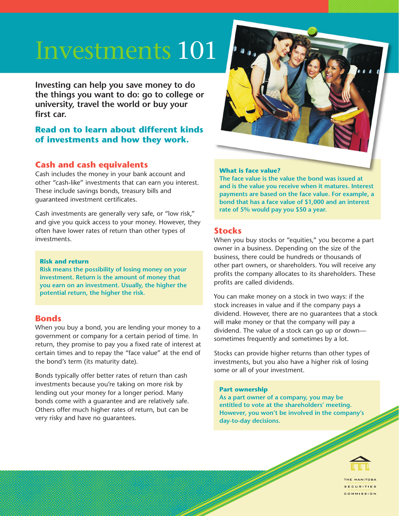# Investments 101

**Investing can help you save money to do the things you want to do: go to college or university, travel the world or buy your first car.** 

# **Read on to learn about different kinds of investments and how they work.**

# **Cash and cash equivalents**

Cash includes the money in your bank account and other "cash-like" investments that can earn you interest. These include savings bonds, treasury bills and guaranteed investment certificates.

Cash investments are generally very safe, or "low risk," and give you quick access to your money. However, they often have lower rates of return than other types of investments.

#### **Risk and return**

**Risk means the possibility of losing money on your investment. Return is the amount of money that you earn on an investment. Usually, the higher the potential return, the higher the risk.**

## **Bonds**

When you buy a bond, you are lending your money to a government or company for a certain period of time. In return, they promise to pay you a fixed rate of interest at certain times and to repay the "face value" at the end of the bond's term (its maturity date).

Bonds typically offer better rates of return than cash investments because you're taking on more risk by lending out your money for a longer period. Many bonds come with a guarantee and are relatively safe. Others offer much higher rates of return, but can be very risky and have no guarantees.



#### **What is face value?**

**The face value is the value the bond was issued at and is the value you receive when it matures. Interest payments are based on the face value. For example, a bond that has a face value of \$1,000 and an interest rate of 5% would pay you \$50 a year.** 

# **Stocks**

When you buy stocks or "equities," you become a part owner in a business. Depending on the size of the business, there could be hundreds or thousands of other part owners, or shareholders. You will receive any profits the company allocates to its shareholders. These profits are called dividends.

 **isions.** dividend. However, there are no guarantees that a stock You can make money on a stock in two ways: if the stock increases in value and if the company pays a will make money or that the company will pay a dividend. The value of a stock can go up or down sometimes frequently and sometimes by a lot.

Stocks can provide higher returns than other types of investments, but you also have a higher risk of losing some or all of your investment.

#### **Part ownership**

**As a part owner of a company, you may be entitled to vote at the shareholders' meeting. However, you won't be involved in the company's day-to-day decisions.**



**SECURITIES** COMMISSION